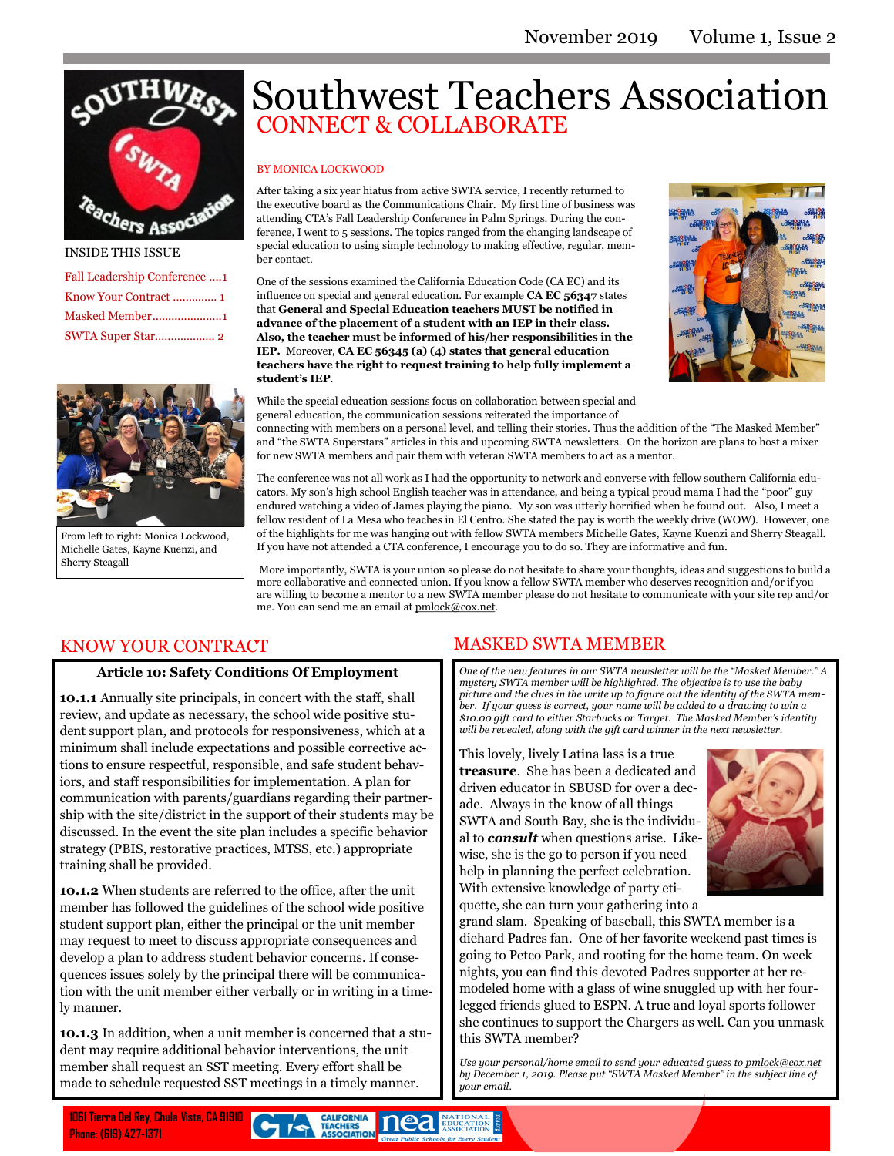

#### INSIDE THIS ISSUE

| Fall Leadership Conference 1 |
|------------------------------|
|                              |
|                              |
|                              |



From left to right: Monica Lockwood, Michelle Gates, Kayne Kuenzi, and Sherry Steagall

# Southwest Teachers Association CONNECT & COLLABORATE

#### BY MONICA LOCKWOOD

After taking a six year hiatus from active SWTA service, I recently returned to the executive board as the Communications Chair. My first line of business was attending CTA's Fall Leadership Conference in Palm Springs. During the conference, I went to 5 sessions. The topics ranged from the changing landscape of special education to using simple technology to making effective, regular, member contact.

One of the sessions examined the California Education Code (CA EC) and its influence on special and general education. For example **CA EC 56347** states that **General and Special Education teachers MUST be notified in advance of the placement of a student with an IEP in their class. Also, the teacher must be informed of his/her responsibilities in the IEP.** Moreover, **CA EC 56345 (a) (4) states that general education teachers have the right to request training to help fully implement a student's IEP**.



While the special education sessions focus on collaboration between special and general education, the communication sessions reiterated the importance of

connecting with members on a personal level, and telling their stories. Thus the addition of the "The Masked Member" and "the SWTA Superstars" articles in this and upcoming SWTA newsletters. On the horizon are plans to host a mixer for new SWTA members and pair them with veteran SWTA members to act as a mentor.

The conference was not all work as I had the opportunity to network and converse with fellow southern California educators. My son's high school English teacher was in attendance, and being a typical proud mama I had the "poor" guy endured watching a video of James playing the piano. My son was utterly horrified when he found out. Also, I meet a fellow resident of La Mesa who teaches in El Centro. She stated the pay is worth the weekly drive (WOW). However, one of the highlights for me was hanging out with fellow SWTA members Michelle Gates, Kayne Kuenzi and Sherry Steagall. If you have not attended a CTA conference, I encourage you to do so. They are informative and fun.

More importantly, SWTA is your union so please do not hesitate to share your thoughts, ideas and suggestions to build a more collaborative and connected union. If you know a fellow SWTA member who deserves recognition and/or if you are willing to become a mentor to a new SWTA member please do not hesitate to communicate with your site rep and/or me. You can send me an email at [pmlock@cox.net.](mailto:pmlock@cox.net)

## KNOW YOUR CONTRACT

### **Article 10: Safety Conditions Of Employment**

**10.1.1** Annually site principals, in concert with the staff, shall review, and update as necessary, the school wide positive student support plan, and protocols for responsiveness, which at a minimum shall include expectations and possible corrective actions to ensure respectful, responsible, and safe student behaviors, and staff responsibilities for implementation. A plan for communication with parents/guardians regarding their partnership with the site/district in the support of their students may be discussed. In the event the site plan includes a specific behavior strategy (PBIS, restorative practices, MTSS, etc.) appropriate training shall be provided.

**10.1.2** When students are referred to the office, after the unit member has followed the guidelines of the school wide positive student support plan, either the principal or the unit member may request to meet to discuss appropriate consequences and develop a plan to address student behavior concerns. If consequences issues solely by the principal there will be communication with the unit member either verbally or in writing in a timely manner.

**10.1.3** In addition, when a unit member is concerned that a student may require additional behavior interventions, the unit member shall request an SST meeting. Every effort shall be made to schedule requested SST meetings in a timely manner.

## MASKED SWTA MEMBER

*One of the new features in our SWTA newsletter will be the "Masked Member." A mystery SWTA member will be highlighted. The objective is to use the baby picture and the clues in the write up to figure out the identity of the SWTA member. If your guess is correct, your name will be added to a drawing to win a \$10.00 gift card to either Starbucks or Target. The Masked Member's identity will be revealed, along with the gift card winner in the next newsletter.* 

This lovely, lively Latina lass is a true **treasure**. She has been a dedicated and driven educator in SBUSD for over a decade. Always in the know of all things SWTA and South Bay, she is the individual to *consult* when questions arise. Likewise, she is the go to person if you need help in planning the perfect celebration. With extensive knowledge of party etiquette, she can turn your gathering into a



grand slam. Speaking of baseball, this SWTA member is a diehard Padres fan. One of her favorite weekend past times is going to Petco Park, and rooting for the home team. On week nights, you can find this devoted Padres supporter at her remodeled home with a glass of wine snuggled up with her fourlegged friends glued to ESPN. A true and loyal sports follower she continues to support the Chargers as well. Can you unmask this SWTA member?

*Use your personal/home email to send your educated guess to [pmlock@cox.net](mailto:pmlock@cox.net) by December 1, 2019. Please put "SWTA Masked Member" in the subject line of your email.*